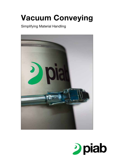# Vacuum Conveying

Simplifying Material Handling



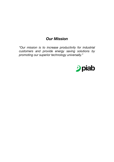# *Our Mission*

*"Our mission is to increase productivity for industrial customers and provide energy saving solutions by promoting our superior technology universally."*

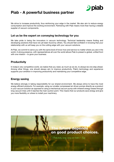

# Piab - A powerful business partner

We strive to increase productivity, thus reinforcing your edge in the market. We also aim to reduce energy consumption and improve the working environment. Partnering with Piab means more than having a reliable supplier of vacuum components.

# Let us be the expert on conveying technology for you

We take pride in being the innovators in vacuum technology. Technical leadership means finding and developing solutions that have not yet been found by others. You should feel confident in knowing that your relationship with us will keep you on the cutting edge with your vacuum solutions.

At Piab, we commit to serve you with the same level of know-how and service no matter where you are in the world. A strong presence, with representatives all over the world allows Piab to present a global, unified front with one mission – to grow your business.

# **Productivity**

In today's very competitive world, we realize that you need, as much as we do, to always be one step ahead. Among other things, one should always aim to improve productivity. Piab's technology and experience supports your ambition in improving productivity and maintaining your competitive edge.

# Energy saving

We believe strongly in taking responsibility for our shared environment. We always strive to have the most energy efficient products. For example, using our smaller compressed air driven pumps directly as a product in your vacuum solution as opposed to using a mechanical vacuum pump with inherent energy losses through long vacuum lines until it reaches the main suction point. This means that our products save energy and give you more flexibility on where to install your machinery.

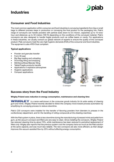# Industries



# Consumer and Food Industries

The most common application within consumer and food industries is conveying ingredients from big or small bags to different process steps in production or conveying the final product to the packaging line. Piab's range of conveyors can handle powders with particle sizes down to 0.5 micron, capacities up to 10 tons/ hour and distances up to 50 meters (160 ft) depending on the conditions of the conveyed material. Piab's conveyors are also designed to handle fragile products such as coffee beans or candy. For applications in these industries, we usually consult our global network of experts to ensure the quality of the conveyed product. Piab conveyors meet the very high hygienic demands (FDA) of the consumer and food industries. The equipment is also ATEX Dust compliant.

### Typical applications

- Powder and granules transfer
- Form-fill-seal
- Big Bag loading and unloading
- Drum/bag filling and emptying
- Mill/Sieve/Mixer/Blender filling
- Tablet/Fragile products transfer
- Applications in explosive atmosphere
- **Hygienic applications**
- Compact applications



# Success story from the Food Industry

#### Wrigley Poland sees reduction in energy consumption, maintenance and cleaning time

**WRIGLEY** is a name well-known in the consumer goods industry for its wide variety of chewing *gum and mints. Wrigley Poland recently decided to follow the company move toward process automation by simplifying its conveying process to reduce downtime.* 

*Piab's C33 conveyors were installed for the transfer of flavoring powders from blenders to presses in the confectionary department, and for the handling of rolling compounds at the sheeting machines.* 

*With the Piab system in place, there is less downtime during the manufacturing of pressed mints and pellet form gum, as the vacuum conveyor and filters are very easy to clean. Since installing the conveyors, Wrigley Poland has reduced cleaning time by about 70%, while maintenance has been reduced to periodical replacement of filters only. Wrigley also reports that the previous system cost the company twice as much as the Piab solution at the same capacity, and was much less reliable. The new conveyors are also more efficient, as their design improves the vacuum-assisted flow by 25% without affecting energy consumption.*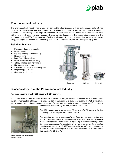

# Pharmaceutical Industry

The pharmaceutical industry has a very high demand for cleanliness as well as for health and safety. Since many of the different powders produced in the pharmaceutical industry are hazardous or considered being a safety risk, Piab designed its range of conveyors to meet these special demands. Piab conveyors work with an enclosed vacuum system, ensuring that no powder leaks out to the surrounding atmosphere. The equipment is also ATEX Dust compliant. Typical applications for the pharmaceutical industry are reactor filling, feeding tablet presses and conveying the final product (tablet or powder) to the packaging line.

### Typical applications

- Powder and granules transfer
- Form-fill-seal
- Big Bag loading and unloading
- **Reactor filling**
- Drum/bag filling and emptying
- Mill/Sieve/Mixer/Blender filling
- Tablet/Fragile products transfer
- Hazardous powder transfer
- Applications in explosive atmosphere
- **Hygienic applications**
- Compact applications



Success story from the Pharmaceutical Industry

#### Reduced cleaning time by 600 hours with C21 conveyor

*A contract manufacturer for solid dosage forms develops and produces multi-layered tablets, film-coated tablets, sugar-coated tablets, pellets and hard gelatin capsules. In a highly competitive market, productivity improvements and reduced cleaning times create a strong competitive edge – something the company* 



*An example of Piab installation for powder transfer.*

*searched for when looking for new production solutions.*

*The C21 vacuum conveyor replaced Piab's own old VC conveyor for the conveying process of powder to tablet presses.* 

*The cleaning process was reduced from three to two hours, giving one hour more production time. The new conveyors also gave improvements in the working environment thanks to lighter equipment and fewer parts of the machine, reducing the possibility of mix-up of parts. The labor cost of cleaning was reduced by €9,000/year and the increased productivity equals to approximately €15,000/year. The return of investment in Piab products was reached in 20 months.*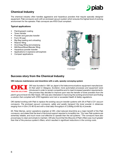

# Chemical Industry

The chemical industry often handles aggressive and hazardous powders that require specially designed equipment. Piab conveyors work with an enclosed vacuum system which ensures the highest level of working environment for the operator. Piab conveyors are ATEX Dust compliant.

### Typical applications

- Painting/paint coating
- Toner transfer
- Powder and granules transfer
- • Form-fill-seal
- • Big Bag loading and unloading
- Reactor filling
- Drum/bag filling and emptying
- Mill/Sieve/Mixer/Blender filling
- Hazardous powder transfer
- Applications in explosive atmosphere
- Compact applications



## Success story from the Chemical Industry

#### OKI reduces maintenance and downtime with a safe, speedy conveying system

*OKI was founded in 1881 as Japan's first telecommunications equipment manufacturer. At their plant in Glasgow, Scotland, more automated processes and equipment were introduced in order to remain competitive and to meet increased operation requirements.*  **PRINTING SOLUTIONS** *One process they decided to improve upon was the transfer of toner powders from the* 

*plant's ground level into filler heads. OKI was also interested in improving the working environment and finding a solution that complied with ATEX legislation and met or exceeded Health & Safety regulations.* 

*OKI started working with Piab to replace the existing vacuum transfer systems with 28 of Piab's C21 vacuum conveyors. The enclosed vacuum conveyors, safely and quietly transport the toner powder in distances ranging from 4-25m (15-80 ft) and with a total daily throughput of 2,000kg (4,400 lb) of powder.*

*Mr. Peter Barnes, senior operations engineer at OKI, cited reduced downtime as a major benefit of the Piab conveyors, and stated that the level of technical support required is incredibly low. "Our new Piab systems are extremely reliable, and much more cost effective to operate than the old systems." The conveyors have also proved easy to clean and simple to maintain. OKI also found that the lifecycle of Piab's filters was much greater than that of the previous system's filters, which resulted in significant reductions in the running costs.*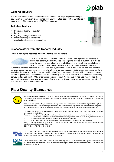

# General Industry

The General industry often handles abrasive powders that require specially designed equipment. Our conveyors are designed with Stainless Steel body (ASTM 304) to resist wear of parts. Piab conveyors are ATEX Dust compliant.

### Typical applications

- Powder and granules transfer
- Form-fill-seal
- Big Bag loading and unloading
- Drum/bag filling and emptying
- Applications in explosive atmosphere



*piFLOW™i*

# Success story from the General Industry

#### Reliable conveyors decrease downtime for tile manufacturers



One of Europe's most innovative producers of automatic systems for weighing and dosing applications, Euroelettra, was challenged to provide its customers in the ceramic tile industry a cost-effective and reliable dosing system that was able to safely transport the thin colored metal oxide powders commonly used in production.

Euroelettra included Piab's industrial vacuum conveyors in the design of its dosing system. The industrial conveyor series was able to run successfully with minimal stoppages due to its simple design and ability to safely handle ceramic powders that are traditionally difficult to transport. Hence, utilizing vacuum conveyors that require minimal maintenance and are completely enclosed, Euroelettra's customers can now safely convey up to 2,000 kg (4,400 lb) of ceramic powder per hour. Product quality has also improved as the industrial conveyors supply an even amount of powder to the dosing machines, ensuring that the color of the completed tiles is more consistent.

# Piab Quality Standards



Piab offers conveyors for ATEX applications. These conveyors are type examined according to ATEX by a third party. Piab has a quality management system which fulfils the high standards that is required for delivering ATEX equipment on a regular basis.

Since there are special safety requirements for equipment and health protection for workers in potentially explosive atmospheres, the EU has created legislation called the ATEX directives. Equipment that is certified according to the ATEX directive 94/9/EC has to be designed in a way that it cannot cause an explosion during its intended use.

The conveyors fulfil the requirements for the following ATEX zone classification for dust: zone 21 and 22 on the outside and zone 20 on the inside.

Piab's conveyors that are classified for use in potentially explosive atmospheres have specific features.

- All seals/rubber parts between the machine's sheet metal parts are made of dissipative (antistatic) materials. All larger plastic parts are made of dissipative (antistatic) materials.
- As a consequence of this, only antistatic variants of filters and fluidization cones are used.

An ATEX-certified conveyor is delivered with CE Declaration of conformity and CE marking that clearly states the ATEX classification and contains the EX symbol. EX II 1/2 D c +80ºC 0ºC <= Ta <= 60ºC



The U.S. Food and Drug Administration (FDA) issues a Code of Federal Regulations that regulates what materials can be used in contact with foodstuffs and pharmaceuticals. Piab's C serie of vacuum conveyors consist solely of materials that are in accordance with FDA requirements.



One of the objectives of the United States Department of Agriculture (USDA) is to ensure the quality of food products and the safety of the consumer. USDA reviews and accepts process equipment for dairy products. Piab follows the guidelines from USDA.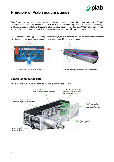

# Principle of Piab vacuum pumps

COAX® cartridges are based on advanced technology for creating vacuum with compressed air. The COAX® cartridges are smaller, more efficient and more reliable than conventional ejectors, which allows for the design of a flexible, modular and efficient vacuum system. A vacuum system based on COAX® technology can provide you with three times more vacuum flow than conventional systems, while reducing energy consumption.

When compressed air (1) passes through the nozzles (2), air is pulled through with the stream of compressed air. Suction will be generated at the opening of each stage (3), resulting in vacuum.

1

3

2



*Multi-ejector Piab vacuum pump Piab vacuum pump driven by COAX® technology*

# Simple compact design

This picture shows a multi-ejector Piab vacuum pump in cross section.

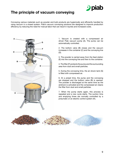

# The principle of vacuum conveying

Conveying various materials such as powder and bulk products are hygienically and efficiently handled by using vacuum in a closed system. Piab's vacuum conveying solutions are designed to improve production efficiency by reducing the need for manual labor that can result in injuries and increased costs.



1. Vacuum is created with a compressed air driven Piab vacuum pump (A). The pump can be automatically controlled.

2. The bottom valve (B) closes and the vacuum increases in the container (C) and the conveying line (D).

3. The powder is carried away from the feed station (E) into the conveying line and then to the container.

4. The filter (F) protects the pump and the surrounding area from dust and small particles.

5. During the conveying time, the air shock tank (G) is filled with compressed air.

6. At a preset time, the pump and the conveying are stopped and the bottom valve (B) is opened. The powder is discharged at the same time as the airshock is activated and the compressed air cleans the filter from dust and small particles.

7. When the pump starts again, this process is repeated and a new cycle starts. The suction time and emptying times are normally controlled by a pneumatic or an electric control system (H).

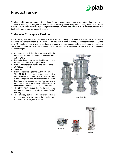# Product range



Piab has a wide product range that includes different types of vacuum conveyors. One thing they have in common is that they are designed for modularity and flexibility across many industrial segments. The C Series is more suitable when you have higher hygienic demands e.g. FDA. The  $pi$ FLOW<sup>™</sup> is a more robust conveyor line that is more ample for general industry.

# C Modular Conveyor – Flexible

This is a widely used conveyor for a number of applications, primarily in the pharmaceutical, food and chemical industries. Its main advantage is a modular design. You may build from a modular concept to reach capacities up to 10 tons/h, or remove volume modules in a snap when you change material or change your capacity needs. In this range, we have C21, C33 and C56 where the number indicates the diameter in centimeters of the conveying unit.

- All material used that is in contact with the conveyed product is made of stainless steel ASTM 316 L.
- Internal volume is extremely flexible, simply add or remove a module in a quick move.
- FDA certificate for all plastic and rubber parts.
- ATEX Dust certified.
- Test Report 2.2.
- Produced according to the USDA directive.
- The C2100-64 is a unique conveyor that is compact in design. Ideal for when you only need a limited capacity and have strict restrictions on headroom above your machine. This conveyor is equipped with the most energy efficient ejector available on the market  $-$  COAX<sup>®</sup> cartridges.
- The C2101-120 is a simplified model with limited options and capacity, equipped with COAX® cartridges.
- The **Unibody** option of C conveyors offers a reduced amount of dirt traps in the powder zone, to meet a higher hygienic demand.



*C33, C56, C21*



*C2100-64*





*Unibody*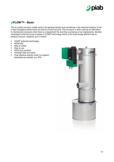

# piFLOW™i - Basic

This is a basic conveyor widely used in the general industry and sometimes in the chemical industry. It has a high throughput performance as well as a small foot print. This conveyor is often used as an alternative to mechanical conveyors when there is a requirement for dust free conveying or low maintenance. Another advantage is that the pump is based on COAX® technology which is the most energy efficient way to produce vacuum. Capacity up to 4 tons/h.

- COAX<sup>®</sup> patented technology.
- • ASTM 304
- Easy to install.
- Easy to use
- ATEX Dust certified.
- • Antistatic filter and seals.
- Cost-effective solution when no hygienic standards are needed, e.g. FDA.

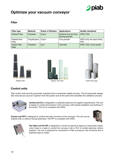

# Optimize your vacuum conveyor

# Filter

| <b>Filter type</b>            | <b>Material</b> | <b>Grade of filtration</b> | <b>Applications</b>                     | <b>Quality standards</b>                    |
|-------------------------------|-----------------|----------------------------|-----------------------------------------|---------------------------------------------|
| <b>Pleated Filter</b>         | Polyester       | $0.5 \mu m$                | Extreme fine and free<br>flowing powder | ATEX, FDA                                   |
| Pleated Rod<br>Filter         | Polyethylene    | 0.5 <sub>µ</sub>           | Fine powder                             | ATEX (only the black filter),<br><b>FDA</b> |
| <b>Textile Filter</b><br>bags | Polyester       | $5 \mu m$                  | Granules                                | ATEX, FDA, Food quality                     |







# Control units

Piab control units are fully pneumatic operated with an extremely reliable function. The full pneumatic design also removes any source of ignition from the system and at the same time simplifies the validation process.



Control unit CU is integrated in a stainless steel box for hygienic requirements. The unit is design to control all functions of the conveyor with simple installation and settings of the timers. The CU is compliant with ATEX.

Control unit PPT is designed to control the basic functions of the conveyor. The unit can be ordered with or without manual start/stop. The PPT is compliant with ATEX.





The Valve unit VU-EP is designed to convert an electrical signal to a pneumatic signal, when there is a need to control the conveyor with a PLC or similar electrical control systems. The unit is prepared for connection to Piab conveyors main functions and is therefore easy to install.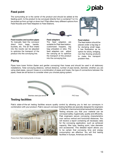# Feed point

The surrounding air is the carrier of the product and should be added at the feeding point. Is the product to be conveyed directly from a container? Is it to be picked up from up high or down low? Piab offers many different options from Feed Nozzles and Feed Adapters to Feed Stations.



Feed nozzles and suction pipes To manually feed the conveyor direct from bags, barrels, buckets, etc. The air flow intake into the nozzle can be adjusted to optimize the transport of the product into the conveying line.



Feed adapters The feed adapters are suitable for Piab feed station, customized hoppers, big bag unloaders or silos. The feed adapters can adjust the carrying air to optimize the transport of the product into the conveying line.



piab

Feed station

The feed station should be placed under a big bag or for dumping small bags. It has fluidization as an option for sticky, bridging, non-free flowing products to make the transport problem-free.

# Piping

Pipes have lower friction (faster and gentler conveying) than hoses and should be used in all stationary installations. Total conveying distance, vertical distance, number of pipe bends, diameter, whether you are using steel pipes, vacuum hoses or a combination of pipes and hoses, the type of connections between the pipes, these are all factors to consider when you choose piping system.



# Testing facilities

Piab's state-of-the-art testing facilities ensure quality control by allowing you to test our conveyors in combination with your product. Piab's vacuum conveyor testing facilities are specially designed for engineers



*Picture from Piab's testing facility in Europe.*

in the food, chemical and pharmaceutical industries. Testing ensures you that your material can be conveyed safely, hygienically, quietly and efficiently. Piab engineers secure conveying characteristics over various vertical and horizontal distances. You will receive a report containing all necessary data for the conveying application, such as achieved capacity, filter type, feeding point, tube diameter and accessories. This detailed report allows you to be certain that conveying time and energy consumption are effective. You will find testing facilities in Europe, Americas and Asia.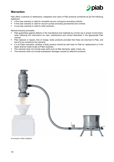

# **Warranties**

Piab offers a warranty to distributors, integrators and users of Piab products worldwide as per the following definitions:

- A five-year warranty is valid for complete vacuum conveyors excluding controls.
- A five-year warranty is valid for vacuum pumps excluding accessories and controls.
- A one-year warranty is valid for other products.

General warranty principles:

- Piab quarantees against defects in the manufacture and materials by normal use in proper environment, when following the instructions for care, maintenance and control described in the appropriate Piab manual.
- Piab replaces or repairs, free of charge, faulty products provided that these are returned to Piab, and found to be covered by the warranty.
- It is at Piab's discretion whether a faulty product should be sent back to Piab for replacement or if the repair shall be made locally at Piab's expense.
- This warranty does not include wear parts such as filter elements, seals, hoses, etc.
- This warranty does not include subsequent damages caused by defective products.



*An example of Piab installation.*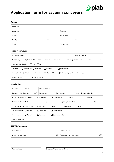

# Application form for vacuum conveyors

### **Contact**

| Distributor: |        |              |      |  |
|--------------|--------|--------------|------|--|
| Customer:    |        | Contact:     |      |  |
| Address:     |        | Postal code: |      |  |
| Country:     | Phone: |              | Fax: |  |
| E-mail:      |        | Web address: |      |  |

#### Product conveyed

| Product conveyed:                                                                                           |                               | Chemical formula:    |     |    |  |
|-------------------------------------------------------------------------------------------------------------|-------------------------------|----------------------|-----|----|--|
| kg/dm <sup>3</sup> [lb/ft $3$ ]<br>Bulk density:                                                            | Particle size: max<br>µm, min | um, majority between | and | μm |  |
| Is the product abrasive?<br>∣No<br>∣ ∣Yes                                                                   |                               |                      |     |    |  |
| Adhesive<br>$\Box$ Free flowing $\Box$ Bridging<br>Flowability:<br>Hygroscopic                              |                               |                      |     |    |  |
| The product is: $\Box$ Static<br>$\Box$ Toxic $\Box$ Aggressive in other ways:<br>Explosive<br>□Inflammable |                               |                      |     |    |  |
| $\circ$<br>Angle of repose:                                                                                 | Other properties:             |                      |     |    |  |

### Installation

| Capacity:<br>ton/h                                                                       | Other intervals:  |                          |           |       |                  |  |
|------------------------------------------------------------------------------------------|-------------------|--------------------------|-----------|-------|------------------|--|
| m[ft]<br>Total conveying distance:                                                       | Horizontal:       | m[ft]                    | Vertical: | m[ft] | Number of bends: |  |
| Type of pipe system: $\Box$ Hose                                                         | $\Box$ Metal pipe | Combination<br>Diameter: |           |       | $mm[$ in]        |  |
| Humidity of the product:                                                                 |                   | Hygroscopic moisture:    |           | %     |                  |  |
| ∏ Sack<br>Drum/Barrel<br>$\Box$ Big bag<br>Product picked up from: $\Box$ Silo<br>Other: |                   |                          |           |       |                  |  |
| The installation is: $\Box$ Indoors                                                      | Outdoors          | Combination              |           |       |                  |  |
| The operation is:<br>$\Box$ Manual                                                       | <b>Automatic</b>  | □ Semi-automatic         |           |       |                  |  |
| Other information:                                                                       |                   |                          |           |       |                  |  |

### ATEX information

| Internal zone:       | External zone:                                 |       |
|----------------------|------------------------------------------------|-------|
| Ambient temperature: | Temperature of the product:<br>$^{\circ}$ CIF1 | °CIFI |
|                      |                                                |       |